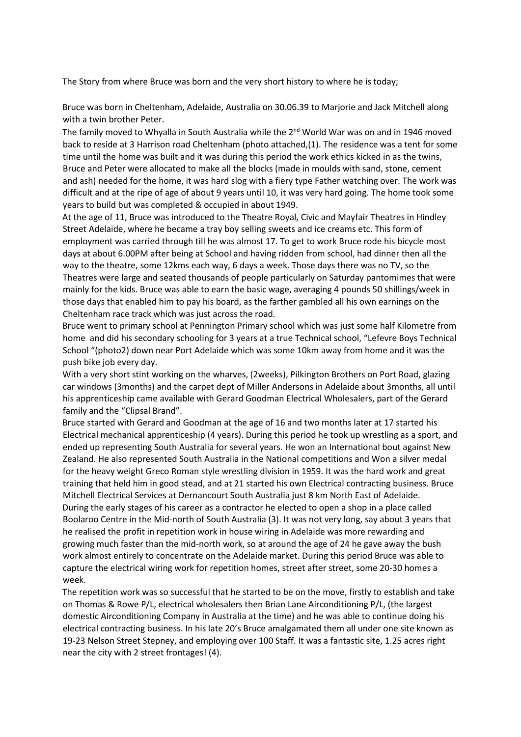The Story from where Bruce was born and the very short history to where he is today;

Bruce was born in Cheltenham, Adelaide, Australia on 30.06.39 to Marjorie and Jack Mitchell along with a twin brother Peter.

The family moved to Whyalla in South Australia while the  $2^{nd}$  World War was on and in 1946 moved back to reside at 3 Harrison road Cheltenham (photo attached,(1). The residence was a tent for some time until the home was built and it was during this period the work ethics kicked in as the twins, Bruce and Peter were allocated to make all the blocks (made in moulds with sand, stone, cement and ash) needed for the home, it was hard slog with a fiery type Father watching over. The work was difficult and at the ripe of age of about 9 years until 10, it was very hard going. The home took some years to build but was completed & occupied in about 1949.

At the age of 11, Bruce was introduced to the Theatre Royal, Civic and Mayfair Theatres in Hindley Street Adelaide, where he became a tray boy selling sweets and ice creams etc. This form of employment was carried through till he was almost 17. To get to work Bruce rode his bicycle most days at about 6.00PM after being at School and having ridden from school, had dinner then all the way to the theatre, some 12kms each way, 6 days a week. Those days there was no TV, so the Theatres were large and seated thousands of people particularly on Saturday pantomimes that were mainly for the kids. Bruce was able to earn the basic wage, averaging 4 pounds 50 shillings/week in those days that enabled him to pay his board, as the farther gambled all his own earnings on the Cheltenham race track which was just across the road.

Bruce went to primary school at Pennington Primary school which was just some half Kilometre from home and did his secondary schooling for 3 years at a true Technical school, "Lefevre Boys Technical School "(photo2) down near Port Adelaide which was some 10km away from home and it was the push bike job every day.

With a very short stint working on the wharves, (2weeks), Pilkington Brothers on Port Road, glazing car windows (3months) and the carpet dept of Miller Andersons in Adelaide about 3months, all until his apprenticeship came available with Gerard Goodman Electrical Wholesalers, part of the Gerard family and the "Clipsal Brand".

Bruce started with Gerard and Goodman at the age of 16 and two months later at 17 started his Electrical mechanical apprenticeship (4 years). During this period he took up wrestling as a sport, and ended up representing South Australia for several years. He won an International bout against New Zealand. He also represented South Australia in the National competitions and Won a silver medal for the heavy weight Greco Roman style wrestling division in 1959. It was the hard work and great training that held him in good stead, and at 21 started his own Electrical contracting business. Bruce Mitchell Electrical Services at Dernancourt South Australia just 8 km North East of Adelaide. During the early stages of his career as a contractor he elected to open a shop in a place called Boolaroo Centre in the Mid-north of South Australia (3). It was not very long, say about 3 years that he realised the profit in repetition work in house wiring in Adelaide was more rewarding and growing much faster than the mid-north work, so at around the age of 24 he gave away the bush work almost entirely to concentrate on the Adelaide market. During this period Bruce was able to capture the electrical wiring work for repetition homes, street after street, some 20-30 homes a week.

The repetition work was so successful that he started to be on the move, firstly to establish and take on Thomas & Rowe P/L, electrical wholesalers then Brian Lane Airconditioning P/L, (the largest domestic Airconditioning Company in Australia at the time) and he was able to continue doing his electrical contracting business. In his late 20's Bruce amalgamated them all under one site known as 19-23 Nelson Street Stepney, and employing over 100 Staff. It was a fantastic site, 1.25 acres right near the city with 2 street frontages! (4).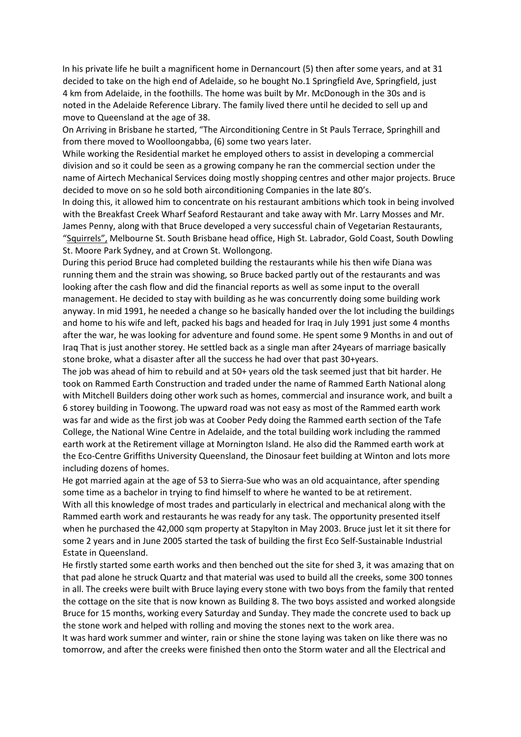In his private life he built a magnificent home in Dernancourt (5) then after some years, and at 31 decided to take on the high end of Adelaide, so he bought No.1 Springfield Ave, Springfield, just 4 km from Adelaide, in the foothills. The home was built by Mr. McDonough in the 30s and is noted in the Adelaide Reference Library. The family lived there until he decided to sell up and move to Queensland at the age of 38.

On Arriving in Brisbane he started, "The Airconditioning Centre in St Pauls Terrace, Springhill and from there moved to Woolloongabba, (6) some two years later.

While working the Residential market he employed others to assist in developing a commercial division and so it could be seen as a growing company he ran the commercial section under the name of Airtech Mechanical Services doing mostly shopping centres and other major projects. Bruce decided to move on so he sold both airconditioning Companies in the late 80's.

In doing this, it allowed him to concentrate on his restaurant ambitions which took in being involved with the Breakfast Creek Wharf Seaford Restaurant and take away with Mr. Larry Mosses and Mr. James Penny, along with that Bruce developed a very successful chain of Vegetarian Restaurants, "Squirrels", Melbourne St. South Brisbane head office, High St. Labrador, Gold Coast, South Dowling St. Moore Park Sydney, and at Crown St. Wollongong.

During this period Bruce had completed building the restaurants while his then wife Diana was running them and the strain was showing, so Bruce backed partly out of the restaurants and was looking after the cash flow and did the financial reports as well as some input to the overall management. He decided to stay with building as he was concurrently doing some building work anyway. In mid 1991, he needed a change so he basically handed over the lot including the buildings and home to his wife and left, packed his bags and headed for Iraq in July 1991 just some 4 months after the war, he was looking for adventure and found some. He spent some 9 Months in and out of Iraq That is just another storey. He settled back as a single man after 24years of marriage basically stone broke, what a disaster after all the success he had over that past 30+years.

The job was ahead of him to rebuild and at 50+ years old the task seemed just that bit harder. He took on Rammed Earth Construction and traded under the name of Rammed Earth National along with Mitchell Builders doing other work such as homes, commercial and insurance work, and built a 6 storey building in Toowong. The upward road was not easy as most of the Rammed earth work was far and wide as the first job was at Coober Pedy doing the Rammed earth section of the Tafe College, the National Wine Centre in Adelaide, and the total building work including the rammed earth work at the Retirement village at Mornington Island. He also did the Rammed earth work at the Eco-Centre Griffiths University Queensland, the Dinosaur feet building at Winton and lots more including dozens of homes.

He got married again at the age of 53 to Sierra-Sue who was an old acquaintance, after spending some time as a bachelor in trying to find himself to where he wanted to be at retirement. With all this knowledge of most trades and particularly in electrical and mechanical along with the Rammed earth work and restaurants he was ready for any task. The opportunity presented itself when he purchased the 42,000 sqm property at Stapylton in May 2003. Bruce just let it sit there for some 2 years and in June 2005 started the task of building the first Eco Self-Sustainable Industrial Estate in Queensland.

He firstly started some earth works and then benched out the site for shed 3, it was amazing that on that pad alone he struck Quartz and that material was used to build all the creeks, some 300 tonnes in all. The creeks were built with Bruce laying every stone with two boys from the family that rented the cottage on the site that is now known as Building 8. The two boys assisted and worked alongside Bruce for 15 months, working every Saturday and Sunday. They made the concrete used to back up the stone work and helped with rolling and moving the stones next to the work area.

It was hard work summer and winter, rain or shine the stone laying was taken on like there was no tomorrow, and after the creeks were finished then onto the Storm water and all the Electrical and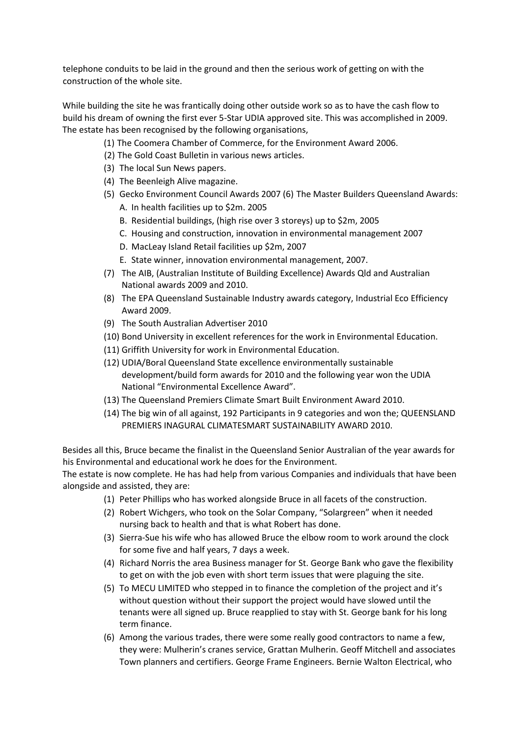telephone conduits to be laid in the ground and then the serious work of getting on with the construction of the whole site.

While building the site he was frantically doing other outside work so as to have the cash flow to build his dream of owning the first ever 5-Star UDIA approved site. This was accomplished in 2009. The estate has been recognised by the following organisations,

- (1) The Coomera Chamber of Commerce, for the Environment Award 2006.
- (2) The Gold Coast Bulletin in various news articles.
- (3) The local Sun News papers.
- (4) The Beenleigh Alive magazine.
- (5) Gecko Environment Council Awards 2007 (6) The Master Builders Queensland Awards: A. In health facilities up to \$2m. 2005
	- B. Residential buildings, (high rise over 3 storeys) up to \$2m, 2005
	- C. Housing and construction, innovation in environmental management 2007
	- D. MacLeay Island Retail facilities up \$2m, 2007
	- E. State winner, innovation environmental management, 2007.
- (7) The AIB, (Australian Institute of Building Excellence) Awards Qld and Australian National awards 2009 and 2010.
- (8) The EPA Queensland Sustainable Industry awards category, Industrial Eco Efficiency Award 2009.
- (9) The South Australian Advertiser 2010
- (10) Bond University in excellent references for the work in Environmental Education.
- (11) Griffith University for work in Environmental Education.
- (12) UDIA/Boral Queensland State excellence environmentally sustainable development/build form awards for 2010 and the following year won the UDIA National "Environmental Excellence Award".
- (13) The Queensland Premiers Climate Smart Built Environment Award 2010.
- (14) The big win of all against, 192 Participants in 9 categories and won the; QUEENSLAND PREMIERS INAGURAL CLIMATESMART SUSTAINABILITY AWARD 2010.

Besides all this, Bruce became the finalist in the Queensland Senior Australian of the year awards for his Environmental and educational work he does for the Environment.

The estate is now complete. He has had help from various Companies and individuals that have been alongside and assisted, they are:

- (1) Peter Phillips who has worked alongside Bruce in all facets of the construction.
- (2) Robert Wichgers, who took on the Solar Company, "Solargreen" when it needed nursing back to health and that is what Robert has done.
- (3) Sierra-Sue his wife who has allowed Bruce the elbow room to work around the clock for some five and half years, 7 days a week.
- (4) Richard Norris the area Business manager for St. George Bank who gave the flexibility to get on with the job even with short term issues that were plaguing the site.
- (5) To MECU LIMITED who stepped in to finance the completion of the project and it's without question without their support the project would have slowed until the tenants were all signed up. Bruce reapplied to stay with St. George bank for his long term finance.
- (6) Among the various trades, there were some really good contractors to name a few, they were: Mulherin's cranes service, Grattan Mulherin. Geoff Mitchell and associates Town planners and certifiers. George Frame Engineers. Bernie Walton Electrical, who